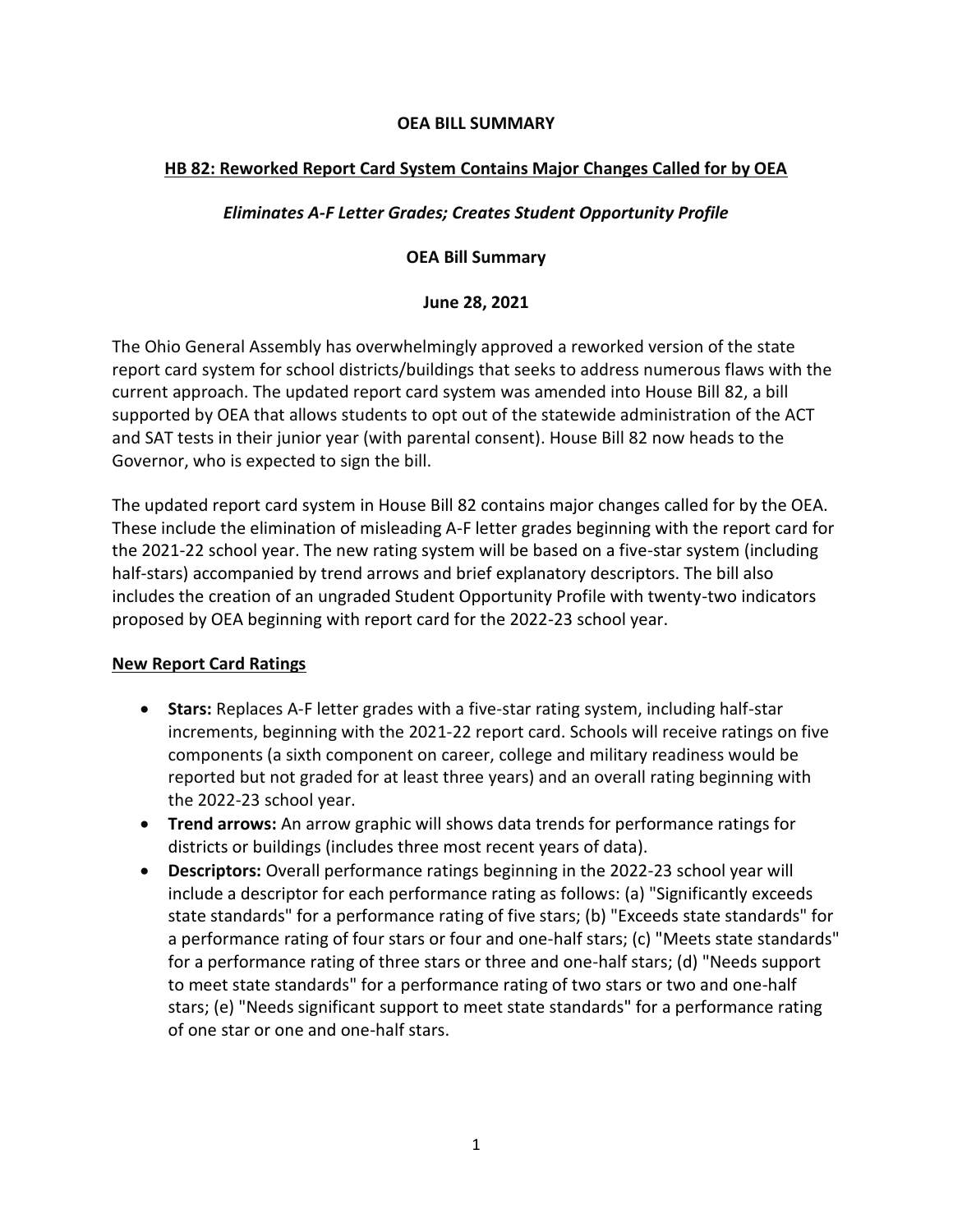#### **OEA BILL SUMMARY**

## **HB 82: Reworked Report Card System Contains Major Changes Called for by OEA**

## *Eliminates A-F Letter Grades; Creates Student Opportunity Profile*

#### **OEA Bill Summary**

#### **June 28, 2021**

The Ohio General Assembly has overwhelmingly approved a reworked version of the state report card system for school districts/buildings that seeks to address numerous flaws with the current approach. The updated report card system was amended into House Bill 82, a bill supported by OEA that allows students to opt out of the statewide administration of the ACT and SAT tests in their junior year (with parental consent). House Bill 82 now heads to the Governor, who is expected to sign the bill.

The updated report card system in House Bill 82 contains major changes called for by the OEA. These include the elimination of misleading A-F letter grades beginning with the report card for the 2021-22 school year. The new rating system will be based on a five-star system (including half-stars) accompanied by trend arrows and brief explanatory descriptors. The bill also includes the creation of an ungraded Student Opportunity Profile with twenty-two indicators proposed by OEA beginning with report card for the 2022-23 school year.

#### **New Report Card Ratings**

- **Stars:** Replaces A-F letter grades with a five-star rating system, including half-star increments, beginning with the 2021-22 report card. Schools will receive ratings on five components (a sixth component on career, college and military readiness would be reported but not graded for at least three years) and an overall rating beginning with the 2022-23 school year.
- **Trend arrows:** An arrow graphic will shows data trends for performance ratings for districts or buildings (includes three most recent years of data).
- **Descriptors:** Overall performance ratings beginning in the 2022-23 school year will include a descriptor for each performance rating as follows: (a) "Significantly exceeds state standards" for a performance rating of five stars; (b) "Exceeds state standards" for a performance rating of four stars or four and one-half stars; (c) "Meets state standards" for a performance rating of three stars or three and one-half stars; (d) "Needs support to meet state standards" for a performance rating of two stars or two and one-half stars; (e) "Needs significant support to meet state standards" for a performance rating of one star or one and one-half stars.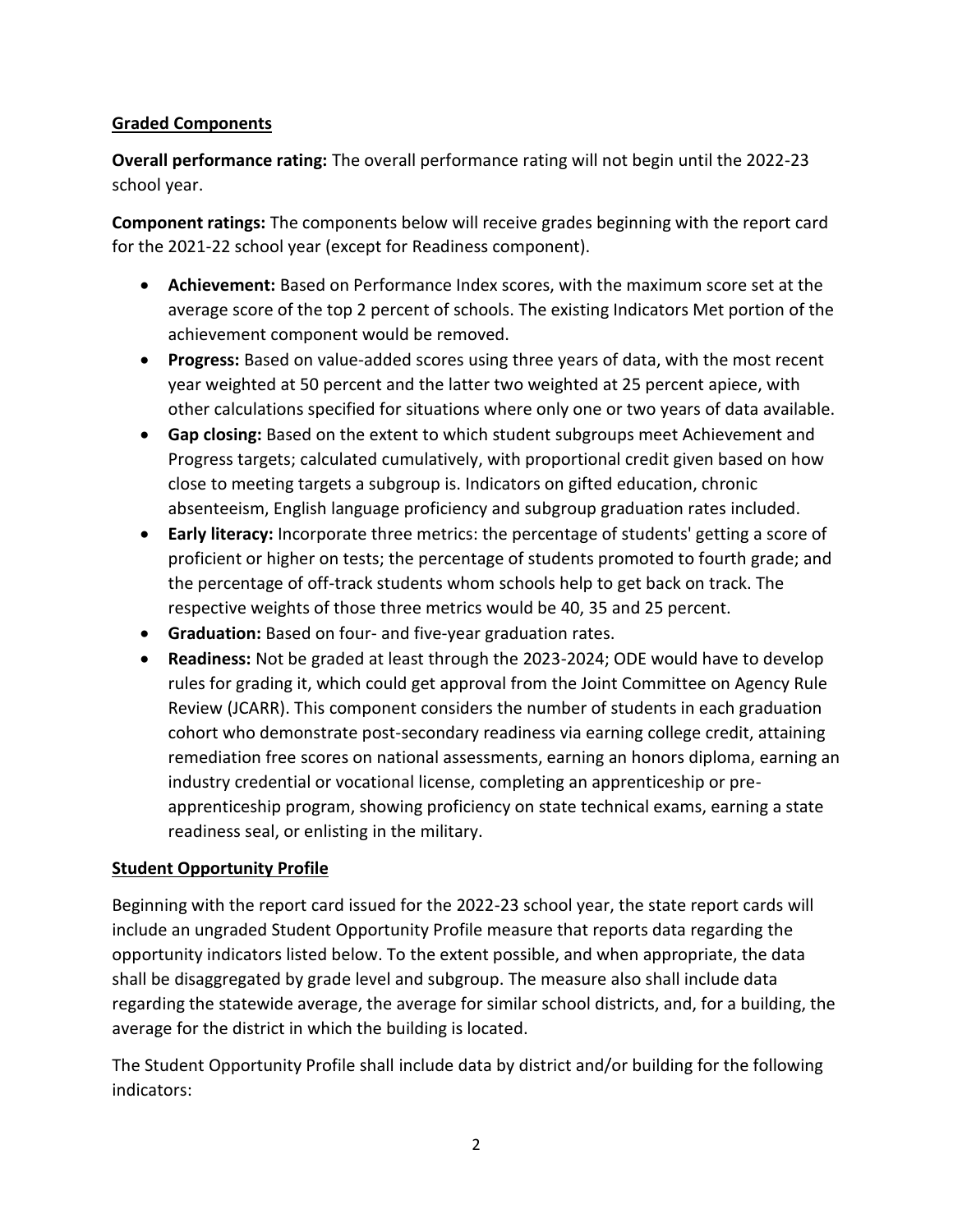## **Graded Components**

**Overall performance rating:** The overall performance rating will not begin until the 2022-23 school year.

**Component ratings:** The components below will receive grades beginning with the report card for the 2021-22 school year (except for Readiness component).

- **Achievement:** Based on Performance Index scores, with the maximum score set at the average score of the top 2 percent of schools. The existing Indicators Met portion of the achievement component would be removed.
- **Progress:** Based on value-added scores using three years of data, with the most recent year weighted at 50 percent and the latter two weighted at 25 percent apiece, with other calculations specified for situations where only one or two years of data available.
- **Gap closing:** Based on the extent to which student subgroups meet Achievement and Progress targets; calculated cumulatively, with proportional credit given based on how close to meeting targets a subgroup is. Indicators on gifted education, chronic absenteeism, English language proficiency and subgroup graduation rates included.
- **Early literacy:** Incorporate three metrics: the percentage of students' getting a score of proficient or higher on tests; the percentage of students promoted to fourth grade; and the percentage of off-track students whom schools help to get back on track. The respective weights of those three metrics would be 40, 35 and 25 percent.
- **Graduation:** Based on four- and five-year graduation rates.
- **Readiness:** Not be graded at least through the 2023-2024; ODE would have to develop rules for grading it, which could get approval from the Joint Committee on Agency Rule Review (JCARR). This component considers the number of students in each graduation cohort who demonstrate post-secondary readiness via earning college credit, attaining remediation free scores on national assessments, earning an honors diploma, earning an industry credential or vocational license, completing an apprenticeship or preapprenticeship program, showing proficiency on state technical exams, earning a state readiness seal, or enlisting in the military.

# **Student Opportunity Profile**

Beginning with the report card issued for the 2022-23 school year, the state report cards will include an ungraded Student Opportunity Profile measure that reports data regarding the opportunity indicators listed below. To the extent possible, and when appropriate, the data shall be disaggregated by grade level and subgroup. The measure also shall include data regarding the statewide average, the average for similar school districts, and, for a building, the average for the district in which the building is located.

The Student Opportunity Profile shall include data by district and/or building for the following indicators: